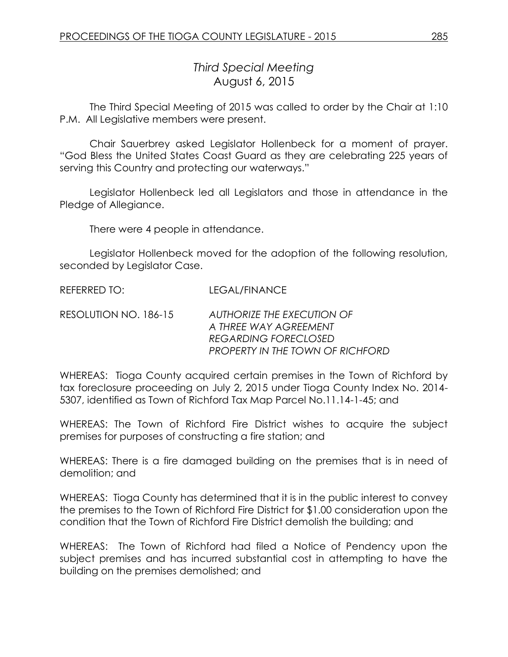# *Third Special Meeting* August 6, 2015

The Third Special Meeting of 2015 was called to order by the Chair at 1:10 P.M. All Legislative members were present.

Chair Sauerbrey asked Legislator Hollenbeck for a moment of prayer. "God Bless the United States Coast Guard as they are celebrating 225 years of serving this Country and protecting our waterways."

Legislator Hollenbeck led all Legislators and those in attendance in the Pledge of Allegiance.

There were 4 people in attendance.

Legislator Hollenbeck moved for the adoption of the following resolution, seconded by Legislator Case.

REFERRED TO: LEGAL/FINANCE

RESOLUTION NO. 186-15 *AUTHORIZE THE EXECUTION OF A THREE WAY AGREEMENT REGARDING FORECLOSED PROPERTY IN THE TOWN OF RICHFORD*

WHEREAS: Tioga County acquired certain premises in the Town of Richford by tax foreclosure proceeding on July 2, 2015 under Tioga County Index No. 2014- 5307, identified as Town of Richford Tax Map Parcel No.11.14-1-45; and

WHEREAS: The Town of Richford Fire District wishes to acquire the subject premises for purposes of constructing a fire station; and

WHEREAS: There is a fire damaged building on the premises that is in need of demolition; and

WHEREAS: Tioga County has determined that it is in the public interest to convey the premises to the Town of Richford Fire District for \$1.00 consideration upon the condition that the Town of Richford Fire District demolish the building; and

WHEREAS: The Town of Richford had filed a Notice of Pendency upon the subject premises and has incurred substantial cost in attempting to have the building on the premises demolished; and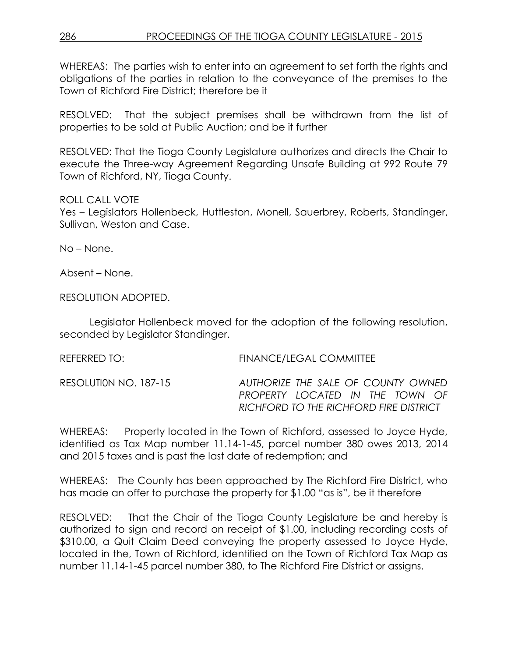WHEREAS: The parties wish to enter into an agreement to set forth the rights and obligations of the parties in relation to the conveyance of the premises to the Town of Richford Fire District; therefore be it

RESOLVED: That the subject premises shall be withdrawn from the list of properties to be sold at Public Auction; and be it further

RESOLVED: That the Tioga County Legislature authorizes and directs the Chair to execute the Three-way Agreement Regarding Unsafe Building at 992 Route 79 Town of Richford, NY, Tioga County.

### ROLL CALL VOTE

Yes – Legislators Hollenbeck, Huttleston, Monell, Sauerbrey, Roberts, Standinger, Sullivan, Weston and Case.

No – None.

Absent – None.

RESOLUTION ADOPTED.

Legislator Hollenbeck moved for the adoption of the following resolution, seconded by Legislator Standinger.

REFERRED TO: FINANCE/LEGAL COMMITTEE

RESOLUTI0N NO. 187-15 *AUTHORIZE THE SALE OF COUNTY OWNED PROPERTY LOCATED IN THE TOWN OF RICHFORD TO THE RICHFORD FIRE DISTRICT*

WHEREAS: Property located in the Town of Richford, assessed to Joyce Hyde, identified as Tax Map number 11.14-1-45, parcel number 380 owes 2013, 2014 and 2015 taxes and is past the last date of redemption; and

WHEREAS: The County has been approached by The Richford Fire District, who has made an offer to purchase the property for \$1.00 "as is", be it therefore

RESOLVED: That the Chair of the Tioga County Legislature be and hereby is authorized to sign and record on receipt of \$1.00, including recording costs of \$310.00, a Quit Claim Deed conveying the property assessed to Joyce Hyde, located in the, Town of Richford, identified on the Town of Richford Tax Map as number 11.14-1-45 parcel number 380, to The Richford Fire District or assigns.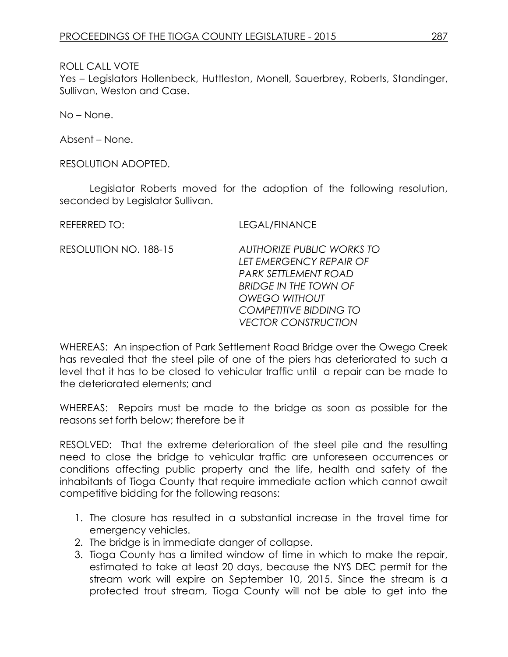#### ROLL CALL VOTE

Yes – Legislators Hollenbeck, Huttleston, Monell, Sauerbrey, Roberts, Standinger, Sullivan, Weston and Case.

No – None.

Absent – None.

RESOLUTION ADOPTED.

Legislator Roberts moved for the adoption of the following resolution, seconded by Legislator Sullivan.

REFERRED TO: LEGAL/FINANCE

RESOLUTION NO. 188-15 *AUTHORIZE PUBLIC WORKS TO LET EMERGENCY REPAIR OF PARK SETTLEMENT ROAD BRIDGE IN THE TOWN OF OWEGO WITHOUT COMPETITIVE BIDDING TO VECTOR CONSTRUCTION*

WHEREAS: An inspection of Park Settlement Road Bridge over the Owego Creek has revealed that the steel pile of one of the piers has deteriorated to such a level that it has to be closed to vehicular traffic until a repair can be made to the deteriorated elements; and

WHEREAS: Repairs must be made to the bridge as soon as possible for the reasons set forth below; therefore be it

RESOLVED: That the extreme deterioration of the steel pile and the resulting need to close the bridge to vehicular traffic are unforeseen occurrences or conditions affecting public property and the life, health and safety of the inhabitants of Tioga County that require immediate action which cannot await competitive bidding for the following reasons:

- 1. The closure has resulted in a substantial increase in the travel time for emergency vehicles.
- 2. The bridge is in immediate danger of collapse.
- 3. Tioga County has a limited window of time in which to make the repair, estimated to take at least 20 days, because the NYS DEC permit for the stream work will expire on September 10, 2015. Since the stream is a protected trout stream, Tioga County will not be able to get into the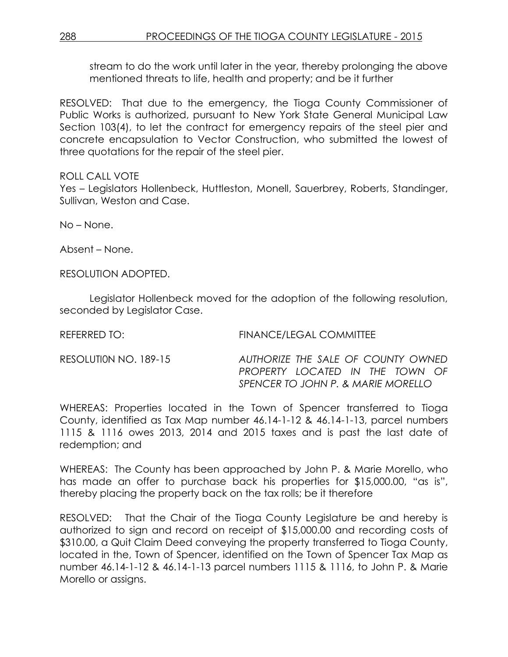stream to do the work until later in the year, thereby prolonging the above mentioned threats to life, health and property; and be it further

RESOLVED: That due to the emergency, the Tioga County Commissioner of Public Works is authorized, pursuant to New York State General Municipal Law Section 103(4), to let the contract for emergency repairs of the steel pier and concrete encapsulation to Vector Construction, who submitted the lowest of three quotations for the repair of the steel pier.

#### ROLL CALL VOTE

Yes – Legislators Hollenbeck, Huttleston, Monell, Sauerbrey, Roberts, Standinger, Sullivan, Weston and Case.

No – None.

Absent – None.

RESOLUTION ADOPTED.

Legislator Hollenbeck moved for the adoption of the following resolution, seconded by Legislator Case.

| FINANCE/LEGAL COMMITTEE                                                                                     |
|-------------------------------------------------------------------------------------------------------------|
| AUTHORIZE THE SALE OF COUNTY OWNED<br>PROPERTY LOCATED IN THE TOWN OF<br>SPENCER TO JOHN P. & MARIE MORELLO |
|                                                                                                             |

WHEREAS: Properties located in the Town of Spencer transferred to Tioga County, identified as Tax Map number 46.14-1-12 & 46.14-1-13, parcel numbers 1115 & 1116 owes 2013, 2014 and 2015 taxes and is past the last date of redemption; and

WHEREAS: The County has been approached by John P. & Marie Morello, who has made an offer to purchase back his properties for \$15,000.00, "as is", thereby placing the property back on the tax rolls; be it therefore

RESOLVED: That the Chair of the Tioga County Legislature be and hereby is authorized to sign and record on receipt of \$15,000.00 and recording costs of \$310.00, a Quit Claim Deed conveying the property transferred to Tioga County, located in the, Town of Spencer, identified on the Town of Spencer Tax Map as number 46.14-1-12 & 46.14-1-13 parcel numbers 1115 & 1116, to John P. & Marie Morello or assigns.